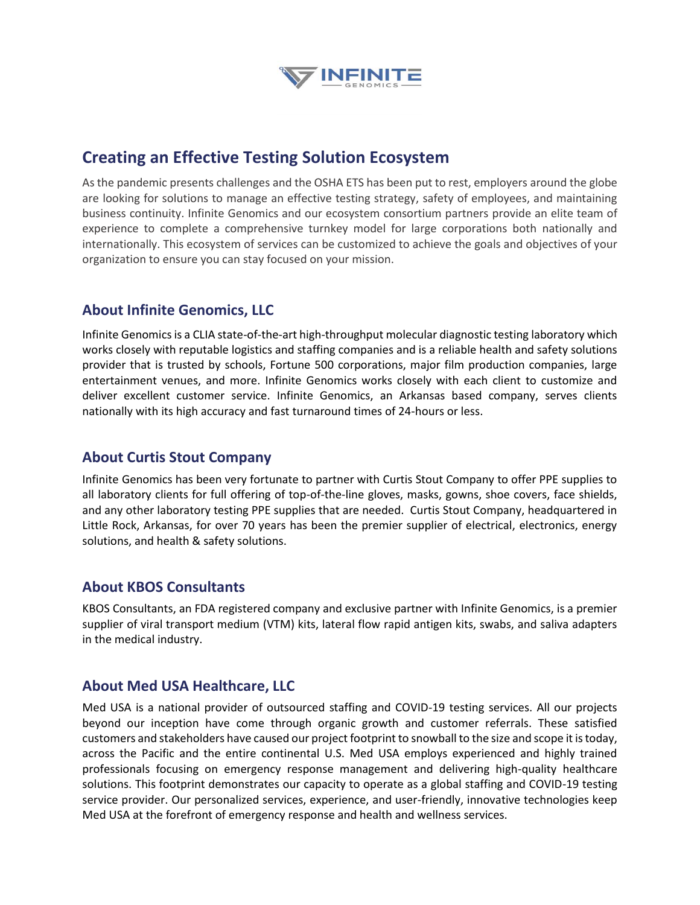

## **Creating an Effective Testing Solution Ecosystem**

As the pandemic presents challenges and the OSHA ETS has been put to rest, employers around the globe are looking for solutions to manage an effective testing strategy, safety of employees, and maintaining business continuity. Infinite Genomics and our ecosystem consortium partners provide an elite team of experience to complete a comprehensive turnkey model for large corporations both nationally and internationally. This ecosystem of services can be customized to achieve the goals and objectives of your organization to ensure you can stay focused on your mission.

#### **About Infinite Genomics, LLC**

Infinite Genomics is a CLIA state-of-the-art high-throughput molecular diagnostic testing laboratory which works closely with reputable logistics and staffing companies and is a reliable health and safety solutions provider that is trusted by schools, Fortune 500 corporations, major film production companies, large entertainment venues, and more. Infinite Genomics works closely with each client to customize and deliver excellent customer service. Infinite Genomics, an Arkansas based company, serves clients nationally with its high accuracy and fast turnaround times of 24-hours or less.

### **About Curtis Stout Company**

Infinite Genomics has been very fortunate to partner with Curtis Stout Company to offer PPE supplies to all laboratory clients for full offering of top-of-the-line gloves, masks, gowns, shoe covers, face shields, and any other laboratory testing PPE supplies that are needed. Curtis Stout Company, headquartered in Little Rock, Arkansas, for over 70 years has been the premier supplier of electrical, electronics, energy solutions, and health & safety solutions.

#### **About KBOS Consultants**

KBOS Consultants, an FDA registered company and exclusive partner with Infinite Genomics, is a premier supplier of viral transport medium (VTM) kits, lateral flow rapid antigen kits, swabs, and saliva adapters in the medical industry.

#### **About Med USA Healthcare, LLC**

Med USA is a national provider of outsourced staffing and COVID-19 testing services. All our projects beyond our inception have come through organic growth and customer referrals. These satisfied customers and stakeholders have caused our project footprint to snowball to the size and scope it is today, across the Pacific and the entire continental U.S. Med USA employs experienced and highly trained professionals focusing on emergency response management and delivering high-quality healthcare solutions. This footprint demonstrates our capacity to operate as a global staffing and COVID-19 testing service provider. Our personalized services, experience, and user-friendly, innovative technologies keep Med USA at the forefront of emergency response and health and wellness services.